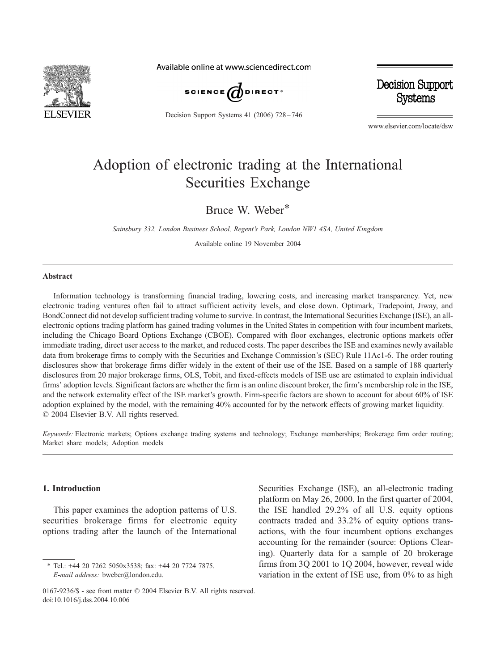

Available online at www.sciencedirect.com



Decision Support Systems 41 (2006) 728-746

Decision Support **Systems** 

www.elsevier.com/locate/dsw

## Adoption of electronic trading at the International Securities Exchange

Bruce W. Weber\*

Sainsbury 332, London Business School, Regent's Park, London NW1 4SA, United Kingdom

Available online 19 November 2004

## Abstract

Information technology is transforming financial trading, lowering costs, and increasing market transparency. Yet, new electronic trading ventures often fail to attract sufficient activity levels, and close down. Optimark, Tradepoint, Jiway, and BondConnect did not develop sufficient trading volume to survive. In contrast, the International Securities Exchange (ISE), an allelectronic options trading platform has gained trading volumes in the United States in competition with four incumbent markets, including the Chicago Board Options Exchange (CBOE). Compared with floor exchanges, electronic options markets offer immediate trading, direct user access to the market, and reduced costs. The paper describes the ISE and examines newly available data from brokerage firms to comply with the Securities and Exchange Commission's (SEC) Rule 11Ac1-6. The order routing disclosures show that brokerage firms differ widely in the extent of their use of the ISE. Based on a sample of 188 quarterly disclosures from 20 major brokerage firms, OLS, Tobit, and fixed-effects models of ISE use are estimated to explain individual firms' adoption levels. Significant factors are whether the firm is an online discount broker, the firm's membership role in the ISE, and the network externality effect of the ISE market's growth. Firm-specific factors are shown to account for about 60% of ISE adoption explained by the model, with the remaining 40% accounted for by the network effects of growing market liquidity.  $© 2004 Elsevier B.V. All rights reserved.$ 

Keywords: Electronic markets; Options exchange trading systems and technology; Exchange memberships; Brokerage firm order routing; Market share models; Adoption models

## 1. Introduction

This paper examines the adoption patterns of U.S. securities brokerage firms for electronic equity options trading after the launch of the International

<sup>\*</sup> Tel.: +44 20 7262 5050x3538; fax: +44 20 7724 7875. E-mail address: bweber@london.edu.

Securities Exchange (ISE), an all-electronic trading platform on May 26, 2000. In the first quarter of 2004, the ISE handled 29.2% of all U.S. equity options contracts traded and 33.2% of equity options transactions, with the four incumbent options exchanges accounting for the remainder (source: Options Clearing). Quarterly data for a sample of 20 brokerage firms from 3Q 2001 to 1Q 2004, however, reveal wide variation in the extent of ISE use, from 0% to as high

<sup>0167-9236/\$ -</sup> see front matter  $\odot$  2004 Elsevier B.V. All rights reserved. doi:10.1016/j.dss.2004.10.006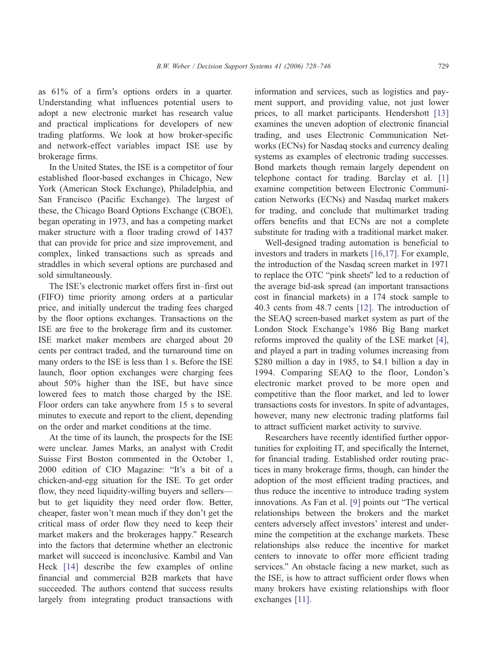as 61% of a firm's options orders in a quarter. Understanding what influences potential users to adopt a new electronic market has research value and practical implications for developers of new trading platforms. We look at how broker-specific and network-effect variables impact ISE use by brokerage firms.

In the United States, the ISE is a competitor of four established floor-based exchanges in Chicago, New York (American Stock Exchange), Philadelphia, and San Francisco (Pacific Exchange). The largest of these, the Chicago Board Options Exchange (CBOE), began operating in 1973, and has a competing market maker structure with a floor trading crowd of 1437 that can provide for price and size improvement, and complex, linked transactions such as spreads and straddles in which several options are purchased and sold simultaneously.

The ISE's electronic market offers first in–first out (FIFO) time priority among orders at a particular price, and initially undercut the trading fees charged by the floor options exchanges. Transactions on the ISE are free to the brokerage firm and its customer. ISE market maker members are charged about 20 cents per contract traded, and the turnaround time on many orders to the ISE is less than 1 s. Before the ISE launch, floor option exchanges were charging fees about 50% higher than the ISE, but have since lowered fees to match those charged by the ISE. Floor orders can take anywhere from 15 s to several minutes to execute and report to the client, depending on the order and market conditions at the time.

At the time of its launch, the prospects for the ISE were unclear. James Marks, an analyst with Credit Suisse First Boston commented in the October 1, 2000 edition of CIO Magazine: "It's a bit of a chicken-and-egg situation for the ISE. To get order flow, they need liquidity-willing buyers and sellers but to get liquidity they need order flow. Better, cheaper, faster won't mean much if they don't get the critical mass of order flow they need to keep their market makers and the brokerages happy." Research into the factors that determine whether an electronic market will succeed is inconclusive. Kambil and Van Heck [\[14\]](#page--1-0) describe the few examples of online financial and commercial B2B markets that have succeeded. The authors contend that success results largely from integrating product transactions with

information and services, such as logistics and payment support, and providing value, not just lower prices, to all market participants. Hendershott [\[13\]](#page--1-0) examines the uneven adoption of electronic financial trading, and uses Electronic Communication Networks (ECNs) for Nasdaq stocks and currency dealing systems as examples of electronic trading successes. Bond markets though remain largely dependent on telephone contact for trading. Barclay et al. [\[1\]](#page--1-0) examine competition between Electronic Communication Networks (ECNs) and Nasdaq market makers for trading, and conclude that multimarket trading offers benefits and that ECNs are not a complete substitute for trading with a traditional market maker.

Well-designed trading automation is beneficial to investors and traders in markets [\[16,17\].](#page--1-0) For example, the introduction of the Nasdaq screen market in 1971 to replace the OTC "pink sheets" led to a reduction of the average bid-ask spread (an important transactions cost in financial markets) in a 174 stock sample to 40.3 cents from 48.7 cents [\[12\].](#page--1-0) The introduction of the SEAQ screen-based market system as part of the London Stock Exchange's 1986 Big Bang market reforms improved the quality of the LSE market [\[4\],](#page--1-0) and played a part in trading volumes increasing from \$280 million a day in 1985, to \$4.1 billion a day in 1994. Comparing SEAQ to the floor, London's electronic market proved to be more open and competitive than the floor market, and led to lower transactions costs for investors. In spite of advantages, however, many new electronic trading platforms fail to attract sufficient market activity to survive.

Researchers have recently identified further opportunities for exploiting IT, and specifically the Internet, for financial trading. Established order routing practices in many brokerage firms, though, can hinder the adoption of the most efficient trading practices, and thus reduce the incentive to introduce trading system innovations. As Fan et al. [\[9\]](#page--1-0) points out "The vertical relationships between the brokers and the market centers adversely affect investors' interest and undermine the competition at the exchange markets. These relationships also reduce the incentive for market centers to innovate to offer more efficient trading services." An obstacle facing a new market, such as the ISE, is how to attract sufficient order flows when many brokers have existing relationships with floor exchanges [\[11\].](#page--1-0)